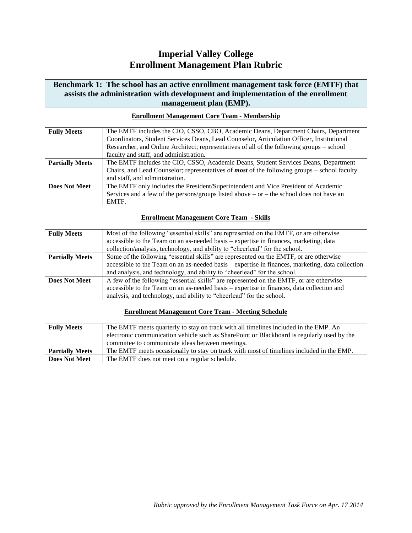# **Imperial Valley College Enrollment Management Plan Rubric**

### **Benchmark 1: The school has an active enrollment management task force (EMTF) that assists the administration with development and implementation of the enrollment management plan (EMP).**

| <b>Fully Meets</b>     | The EMTF includes the CIO, CSSO, CBO, Academic Deans, Department Chairs, Department                   |
|------------------------|-------------------------------------------------------------------------------------------------------|
|                        | Coordinators, Student Services Deans, Lead Counselor, Articulation Officer, Institutional             |
|                        | Researcher, and Online Architect; representatives of all of the following groups – school             |
|                        | faculty and staff, and administration.                                                                |
| <b>Partially Meets</b> | The EMTF includes the CIO, CSSO, Academic Deans, Student Services Deans, Department                   |
|                        | Chairs, and Lead Counselor; representatives of <i>most</i> of the following groups $-$ school faculty |
|                        | and staff, and administration.                                                                        |
| <b>Does Not Meet</b>   | The EMTF only includes the President/Superintendent and Vice President of Academic                    |
|                        | Services and a few of the persons/groups listed above $-$ or $-$ the school does not have an          |
|                        | EMTF.                                                                                                 |

### **Enrollment Management Core Team - Membership**

### **Enrollment Management Core Team - Skills**

| <b>Fully Meets</b>     | Most of the following "essential skills" are represented on the EMTF, or are otherwise           |
|------------------------|--------------------------------------------------------------------------------------------------|
|                        | accessible to the Team on an as-needed basis – expertise in finances, marketing, data            |
|                        | collection/analysis, technology, and ability to "cheerlead" for the school.                      |
| <b>Partially Meets</b> | Some of the following "essential skills" are represented on the EMTF, or are otherwise           |
|                        | accessible to the Team on an as-needed basis – expertise in finances, marketing, data collection |
|                        | and analysis, and technology, and ability to "cheerlead" for the school.                         |
| <b>Does Not Meet</b>   | A few of the following "essential skills" are represented on the EMTF, or are otherwise          |
|                        | accessible to the Team on an as-needed basis - expertise in finances, data collection and        |
|                        | analysis, and technology, and ability to "cheerlead" for the school.                             |

### **Enrollment Management Core Team - Meeting Schedule**

| <b>Fully Meets</b>     | The EMTF meets quarterly to stay on track with all timelines included in the EMP. An       |
|------------------------|--------------------------------------------------------------------------------------------|
|                        | electronic communication vehicle such as SharePoint or Blackboard is regularly used by the |
|                        | committee to communicate ideas between meetings.                                           |
| <b>Partially Meets</b> | The EMTF meets occasionally to stay on track with most of timelines included in the EMP.   |
| <b>Does Not Meet</b>   | The EMTF does not meet on a regular schedule.                                              |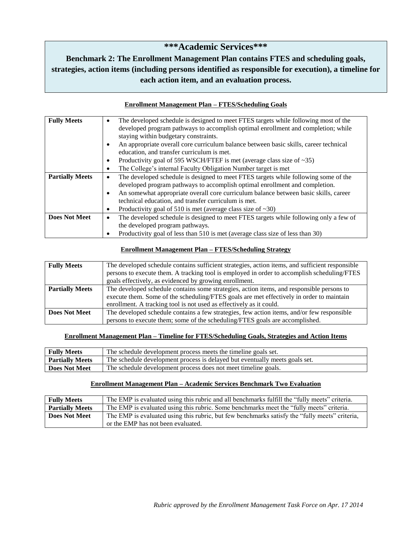# **\*\*\*Academic Services\*\*\***

# **Benchmark 2: The Enrollment Management Plan contains FTES and scheduling goals, strategies, action items (including persons identified as responsible for execution), a timeline for each action item, and an evaluation process.**

### **Enrollment Management Plan – FTES/Scheduling Goals**

| <b>Fully Meets</b>     | The developed schedule is designed to meet FTES targets while following most of the   |
|------------------------|---------------------------------------------------------------------------------------|
|                        | developed program pathways to accomplish optimal enrollment and completion; while     |
|                        | staying within budgetary constraints.                                                 |
|                        | An appropriate overall core curriculum balance between basic skills, career technical |
|                        | education, and transfer curriculum is met.                                            |
|                        | Productivity goal of 595 WSCH/FTEF is met (average class size of $\sim$ 35)           |
|                        | The College's internal Faculty Obligation Number target is met                        |
| <b>Partially Meets</b> | The developed schedule is designed to meet FTES targets while following some of the   |
|                        | developed program pathways to accomplish optimal enrollment and completion.           |
|                        | An somewhat appropriate overall core curriculum balance between basic skills, career  |
|                        | technical education, and transfer curriculum is met.                                  |
|                        | Productivity goal of 510 is met (average class size of $\sim$ 30)                     |
| <b>Does Not Meet</b>   | The developed schedule is designed to meet FTES targets while following only a few of |
|                        | the developed program pathways.                                                       |
|                        | Productivity goal of less than 510 is met (average class size of less than 30)        |

### **Enrollment Management Plan – FTES/Scheduling Strategy**

| <b>Fully Meets</b>     | The developed schedule contains sufficient strategies, action items, and sufficient responsible |
|------------------------|-------------------------------------------------------------------------------------------------|
|                        | persons to execute them. A tracking tool is employed in order to accomplish scheduling/FTES     |
|                        | goals effectively, as evidenced by growing enrollment.                                          |
| <b>Partially Meets</b> | The developed schedule contains some strategies, action items, and responsible persons to       |
|                        | execute them. Some of the scheduling/FTES goals are met effectively in order to maintain        |
|                        | enrollment. A tracking tool is not used as effectively as it could.                             |
| <b>Does Not Meet</b>   | The developed schedule contains a few strategies, few action items, and/or few responsible      |
|                        | persons to execute them; some of the scheduling/FTES goals are accomplished.                    |

#### **Enrollment Management Plan – Timeline for FTES/Scheduling Goals, Strategies and Action Items**

| <b>Fully Meets</b>     | The schedule development process meets the timeline goals set.              |
|------------------------|-----------------------------------------------------------------------------|
| <b>Partially Meets</b> | The schedule development process is delayed but eventually meets goals set. |
| Does Not Meet          | The schedule development process does not meet timeline goals.              |

#### **Enrollment Management Plan – Academic Services Benchmark Two Evaluation**

| <b>Fully Meets</b>     | The EMP is evaluated using this rubric and all benchmarks fulfill the "fully meets" criteria.  |
|------------------------|------------------------------------------------------------------------------------------------|
| <b>Partially Meets</b> | The EMP is evaluated using this rubric. Some benchmarks meet the "fully meets" criteria.       |
| <b>Does Not Meet</b>   | The EMP is evaluated using this rubric, but few benchmarks satisfy the "fully meets" criteria, |
|                        | or the EMP has not been evaluated.                                                             |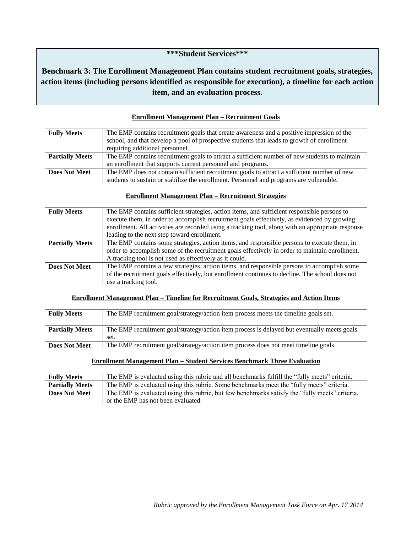### **\*\*\*Student Services\*\*\***

## **Benchmark 3: The Enrollment Management Plan contains student recruitment goals, strategies, action items (including persons identified as responsible for execution), a timeline for each action item, and an evaluation process.**

| <b>Fully Meets</b>     | The EMP contains recruitment goals that create awareness and a positive impression of the<br>school, and that develop a pool of prospective students that leads to growth of enrollment |
|------------------------|-----------------------------------------------------------------------------------------------------------------------------------------------------------------------------------------|
|                        | requiring additional personnel.                                                                                                                                                         |
| <b>Partially Meets</b> | The EMP contains recruitment goals to attract a sufficient number of new students to maintain                                                                                           |
|                        | an enrollment that supports current personnel and programs.                                                                                                                             |
| <b>Does Not Meet</b>   | The EMP does not contain sufficient recruitment goals to attract a sufficient number of new                                                                                             |
|                        | students to sustain or stabilize the enrollment. Personnel and programs are vulnerable.                                                                                                 |

### **Enrollment Management Plan – Recruitment Goals**

#### **Enrollment Management Plan – Recruitment Strategies**

| <b>Fully Meets</b>     | The EMP contains sufficient strategies, action items, and sufficient responsible persons to       |
|------------------------|---------------------------------------------------------------------------------------------------|
|                        | execute them, in order to accomplish recruitment goals effectively, as evidenced by growing       |
|                        | enrollment. All activities are recorded using a tracking tool, along with an appropriate response |
|                        | leading to the next step toward enrollment.                                                       |
| <b>Partially Meets</b> | The EMP contains some strategies, action items, and responsible persons to execute them, in       |
|                        | order to accomplish some of the recruitment goals effectively in order to maintain enrollment.    |
|                        | A tracking tool is not used as effectively as it could.                                           |
| <b>Does Not Meet</b>   | The EMP contains a few strategies, action items, and responsible persons to accomplish some       |
|                        | of the recruitment goals effectively, but enrollment continues to decline. The school does not    |
|                        | use a tracking tool.                                                                              |

### **Enrollment Management Plan – Timeline for Recruitment Goals, Strategies and Action Items**

| <b>Fully Meets</b>     | The EMP recruitment goal/strategy/action item process meets the timeline goals set.         |
|------------------------|---------------------------------------------------------------------------------------------|
| <b>Partially Meets</b> | The EMP recruitment goal/strategy/action item process is delayed but eventually meets goals |
|                        | set.                                                                                        |
| <b>Does Not Meet</b>   | The EMP recruitment goal/strategy/action item process does not meet timeline goals.         |

#### **Enrollment Management Plan – Student Services Benchmark Three Evaluation**

| <b>Fully Meets</b>     | The EMP is evaluated using this rubric and all benchmarks fulfill the "fully meets" criteria.  |
|------------------------|------------------------------------------------------------------------------------------------|
| <b>Partially Meets</b> | The EMP is evaluated using this rubric. Some benchmarks meet the "fully meets" criteria.       |
| <b>Does Not Meet</b>   | The EMP is evaluated using this rubric, but few benchmarks satisfy the "fully meets" criteria, |
|                        | or the EMP has not been evaluated.                                                             |